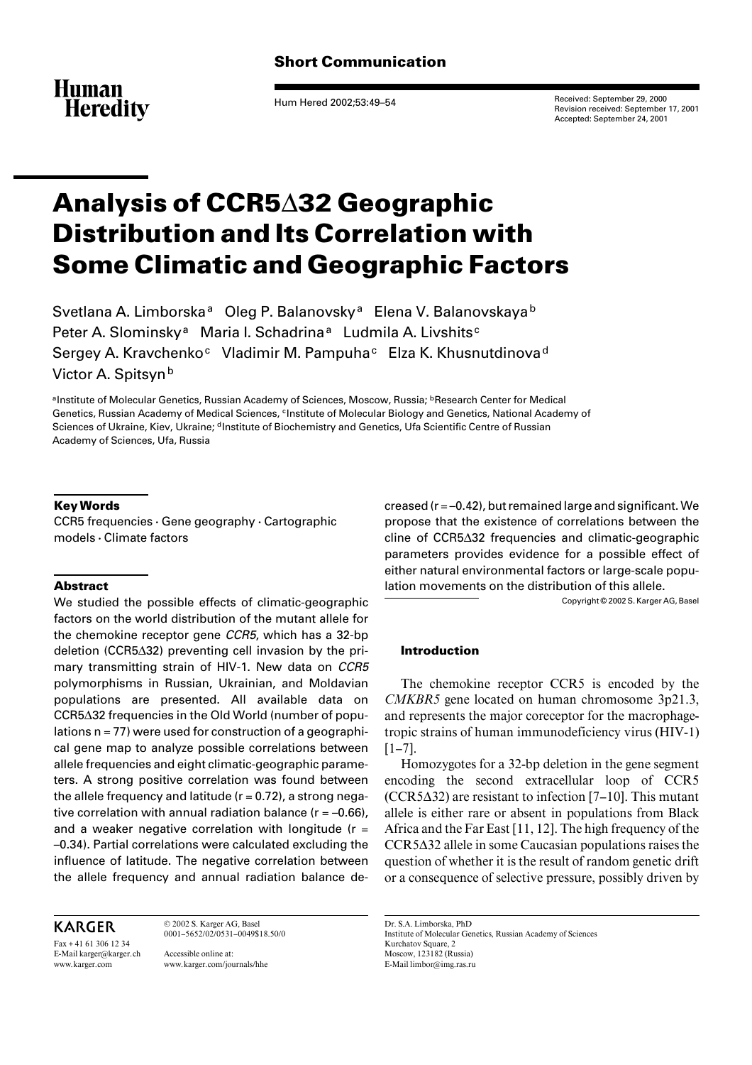

Hum Hered 2002;53:49–54

Received: September 29, 2000 Revision received: September 17, 2001 Accepted: September 24, 2001

# **Analysis of CCR5**¢**32 Geographic Distribution and Its Correlation with Some Climatic and Geographic Factors**

Svetlana A. Limborska<sup>a</sup> Oleg P. Balanovsky<sup>a</sup> Elena V. Balanovskaya<sup>b</sup> Peter A. Slominsky<sup>a</sup> Maria I. Schadrina<sup>a</sup> Ludmila A. Livshits<sup>c</sup> Sergey A. Kravchenko<sup>c</sup> Vladimir M. Pampuha<sup>c</sup> Elza K. Khusnutdinova<sup>d</sup> Victor A. Spitsyn<sup>b</sup>

aInstitute of Molecular Genetics, Russian Academy of Sciences, Moscow, Russia; *bResearch Center for Medical* Genetics, Russian Academy of Medical Sciences, <sup>c</sup>Institute of Molecular Biology and Genetics, National Academy of Sciences of Ukraine, Kiev, Ukraine; <sup>d</sup>Institute of Biochemistry and Genetics, Ufa Scientific Centre of Russian Academy of Sciences, Ufa, Russia

### **Key Words**

 $CCR5$  frequencies  $\cdot$  Gene geography  $\cdot$  Cartographic  $models \cdot$  Climate factors

#### **Abstract**

We studied the possible effects of climatic-geographic factors on the world distribution of the mutant allele for the chemokine receptor gene *CCR5*, which has a 32-bp deletion (CCR5 $\Delta$ 32) preventing cell invasion by the primary transmitting strain of HIV-1. New data on *CCR5* polymorphisms in Russian, Ukrainian, and Moldavian populations are presented. All available data on CCR5 $\Delta$ 32 frequencies in the Old World (number of populations  $n = 77$ ) were used for construction of a geographical gene map to analyze possible correlations between allele frequencies and eight climatic-geographic parameters. A strong positive correlation was found between the allele frequency and latitude  $(r = 0.72)$ , a strong negative correlation with annual radiation balance ( $r = -0.66$ ), and a weaker negative correlation with longitude ( $r =$ –0.34). Partial correlations were calculated excluding the influence of latitude. The negative correlation between the allele frequency and annual radiation balance de-

KARGER

Fax + 41 61 306 12 34 E-Mail karger@karger.ch www.karger.com

0001–5652/02/0531–0049\$18.50/0 Accessible online at: www.karger.com/journals/hhe

© 2002 S. Karger AG, Basel

creased (r = –0.42), but remained large and significant. We propose that the existence of correlations between the cline of CCR5 $\Delta$ 32 frequencies and climatic-geographic parameters provides evidence for a possible effect of either natural environmental factors or large-scale population movements on the distribution of this allele.

Copyright © 2002 S. Karger AG, Basel

#### **Introduction**

The chemokine receptor CCR5 is encoded by the *CMKBR5* gene located on human chromosome 3p21.3, and represents the major coreceptor for the macrophagetropic strains of human immunodeficiency virus (HIV-1)  $[1-7]$ .

Homozygotes for a 32-bp deletion in the gene segment encoding the second extracellular loop of CCR5  $(CCR 5\Delta 32)$  are resistant to infection [7–10]. This mutant allele is either rare or absent in populations from Black Africa and the Far East [11, 12]. The high frequency of the  $CCR5\Delta32$  allele in some Caucasian populations raises the question of whether it is the result of random genetic drift or a consequence of selective pressure, possibly driven by

Dr. S.A. Limborska, PhD Institute of Molecular Genetics, Russian Academy of Sciences Kurchatov Square, 2 Moscow, 123182 (Russia) E-Mail limbor@img.ras.ru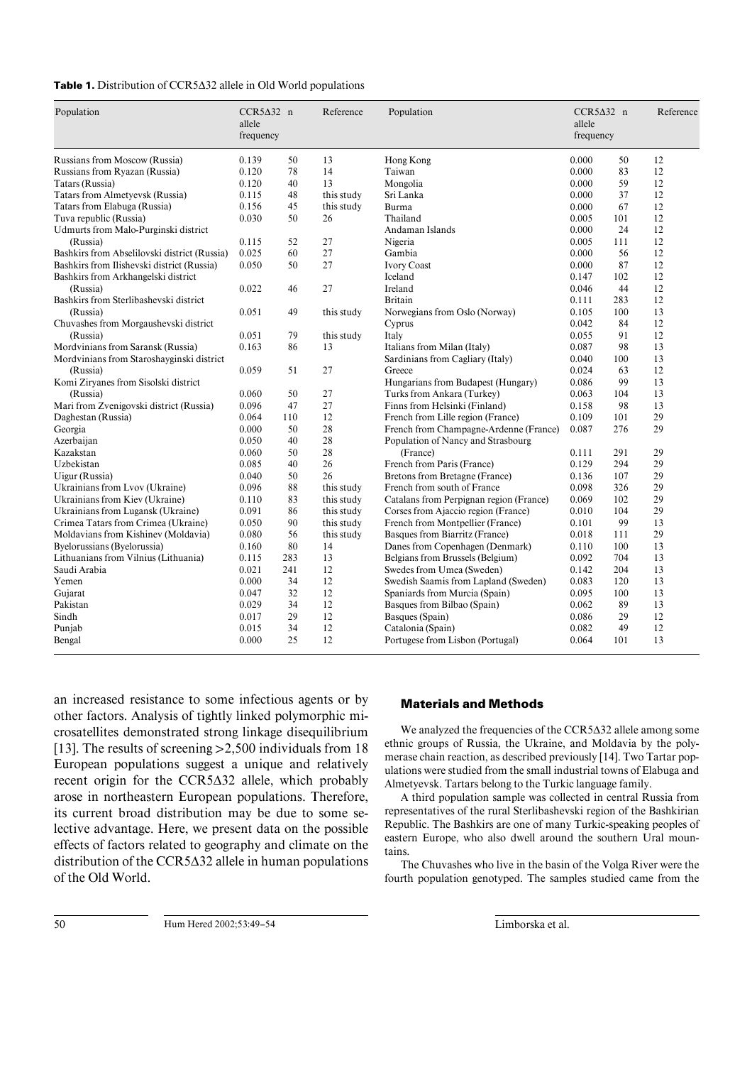#### **Table 1.** Distribution of CCR5∆32 allele in Old World populations

| Population                                   | $CCR5\Delta32$ n<br>allele<br>frequency |     | Reference  | Population                              | $CCR5\Delta32$ n<br>allele<br>frequency |     | Reference |
|----------------------------------------------|-----------------------------------------|-----|------------|-----------------------------------------|-----------------------------------------|-----|-----------|
| Russians from Moscow (Russia)                | 0.139                                   | 50  | 13         | Hong Kong                               | 0.000                                   | 50  | 12        |
| Russians from Ryazan (Russia)                | 0.120                                   | 78  | 14         | Taiwan                                  | 0.000                                   | 83  | 12        |
| Tatars (Russia)                              | 0.120                                   | 40  | 13         | Mongolia                                | 0.000                                   | 59  | 12        |
| Tatars from Almetyevsk (Russia)              | 0.115                                   | 48  | this study | Sri Lanka                               | 0.000                                   | 37  | 12        |
| Tatars from Elabuga (Russia)                 | 0.156                                   | 45  | this study | Burma                                   | 0.000                                   | 67  | 12        |
| Tuva republic (Russia)                       | 0.030                                   | 50  | 26         | Thailand                                | 0.005                                   | 101 | 12        |
| Udmurts from Malo-Purginski district         |                                         |     |            | Andaman Islands                         | 0.000                                   | 24  | 12        |
| (Russia)                                     | 0.115                                   | 52  | 27         | Nigeria                                 | 0.005                                   | 111 | 12        |
| Bashkirs from Abselilovski district (Russia) | 0.025                                   | 60  | 27         | Gambia                                  | 0.000                                   | 56  | 12        |
| Bashkirs from Ilishevski district (Russia)   | 0.050                                   | 50  | 27         | <b>Ivory Coast</b>                      | 0.000                                   | 87  | 12        |
| Bashkirs from Arkhangelski district          |                                         |     |            | Iceland                                 | 0.147                                   | 102 | 12        |
| (Russia)                                     | 0.022                                   | 46  | 27         | Ireland                                 | 0.046                                   | 44  | 12        |
| Bashkirs from Sterlibashevski district       |                                         |     |            | <b>Britain</b>                          | 0.111                                   | 283 | 12        |
| (Russia)                                     | 0.051                                   | 49  | this study | Norwegians from Oslo (Norway)           | 0.105                                   | 100 | 13        |
| Chuvashes from Morgaushevski district        |                                         |     |            | Cyprus                                  | 0.042                                   | 84  | 12        |
| (Russia)                                     | 0.051                                   | 79  | this study | Italy                                   | 0.055                                   | 91  | 12        |
| Mordvinians from Saransk (Russia)            | 0.163                                   | 86  | 13         | Italians from Milan (Italy)             | 0.087                                   | 98  | 13        |
| Mordvinians from Staroshayginski district    |                                         |     |            | Sardinians from Cagliary (Italy)        | 0.040                                   | 100 | 13        |
| (Russia)                                     | 0.059                                   | 51  | 27         | Greece                                  | 0.024                                   | 63  | 12        |
| Komi Ziryanes from Sisolski district         |                                         |     |            | Hungarians from Budapest (Hungary)      | 0.086                                   | 99  | 13        |
| (Russia)                                     | 0.060                                   | 50  | 27         | Turks from Ankara (Turkey)              | 0.063                                   | 104 | 13        |
| Mari from Zvenigovski district (Russia)      | 0.096                                   | 47  | 27         | Finns from Helsinki (Finland)           | 0.158                                   | 98  | 13        |
| Daghestan (Russia)                           | 0.064                                   | 110 | 12         | French from Lille region (France)       | 0.109                                   | 101 | 29        |
| Georgia                                      | 0.000                                   | 50  | 28         | French from Champagne-Ardenne (France)  | 0.087                                   | 276 | 29        |
| Azerbaijan                                   | 0.050                                   | 40  | 28         | Population of Nancy and Strasbourg      |                                         |     |           |
| Kazakstan                                    | 0.060                                   | 50  | 28         | (France)                                | 0.111                                   | 291 | 29        |
| Uzbekistan                                   | 0.085                                   | 40  | 26         | French from Paris (France)              | 0.129                                   | 294 | 29        |
| Uigur (Russia)                               | 0.040                                   | 50  | 26         | Bretons from Bretagne (France)          | 0.136                                   | 107 | 29        |
| Ukrainians from Lvov (Ukraine)               | 0.096                                   | 88  | this study | French from south of France             | 0.098                                   | 326 | 29        |
| Ukrainians from Kiev (Ukraine)               | 0.110                                   | 83  | this study | Catalans from Perpignan region (France) | 0.069                                   | 102 | 29        |
| Ukrainians from Lugansk (Ukraine)            | 0.091                                   | 86  | this study | Corses from Ajaccio region (France)     | 0.010                                   | 104 | 29        |
| Crimea Tatars from Crimea (Ukraine)          | 0.050                                   | 90  | this study | French from Montpellier (France)        | 0.101                                   | 99  | 13        |
| Moldavians from Kishinev (Moldavia)          | 0.080                                   | 56  | this study | Basques from Biarritz (France)          | 0.018                                   | 111 | 29        |
| Byelorussians (Byelorussia)                  | 0.160                                   | 80  | 14         | Danes from Copenhagen (Denmark)         | 0.110                                   | 100 | 13        |
| Lithuanians from Vilnius (Lithuania)         | 0.115                                   | 283 | 13         | Belgians from Brussels (Belgium)        | 0.092                                   | 704 | 13        |
| Saudi Arabia                                 | 0.021                                   | 241 | 12         | Swedes from Umea (Sweden)               | 0.142                                   | 204 | 13        |
| Yemen                                        | 0.000                                   | 34  | 12         | Swedish Saamis from Lapland (Sweden)    | 0.083                                   | 120 | 13        |
| Gujarat                                      | 0.047                                   | 32  | 12         | Spaniards from Murcia (Spain)           | 0.095                                   | 100 | 13        |
| Pakistan                                     | 0.029                                   | 34  | 12         | Basques from Bilbao (Spain)             | 0.062                                   | 89  | 13        |
| Sindh                                        | 0.017                                   | 29  | 12         | Basques (Spain)                         | 0.086                                   | 29  | 12        |
| Punjab                                       | 0.015                                   | 34  | 12         | Catalonia (Spain)                       | 0.082                                   | 49  | 12        |
| Bengal                                       | 0.000                                   | 25  | 12         | Portugese from Lisbon (Portugal)        | 0.064                                   | 101 | 13        |

an increased resistance to some infectious agents or by other factors. Analysis of tightly linked polymorphic microsatellites demonstrated strong linkage disequilibrium [13]. The results of screening  $>2,500$  individuals from 18 European populations suggest a unique and relatively recent origin for the CCR5 $\Delta$ 32 allele, which probably arose in northeastern European populations. Therefore, its current broad distribution may be due to some selective advantage. Here, we present data on the possible effects of factors related to geography and climate on the distribution of the CCR5 $\Delta$ 32 allele in human populations of the Old World.

#### **Materials and Methods**

We analyzed the frequencies of the CCR5 $\Delta$ 32 allele among some ethnic groups of Russia, the Ukraine, and Moldavia by the polymerase chain reaction, as described previously [14]. Two Tartar populations were studied from the small industrial towns of Elabuga and Almetyevsk. Tartars belong to the Turkic language family.

A third population sample was collected in central Russia from representatives of the rural Sterlibashevski region of the Bashkirian Republic. The Bashkirs are one of many Turkic-speaking peoples of eastern Europe, who also dwell around the southern Ural mountains.

The Chuvashes who live in the basin of the Volga River were the fourth population genotyped. The samples studied came from the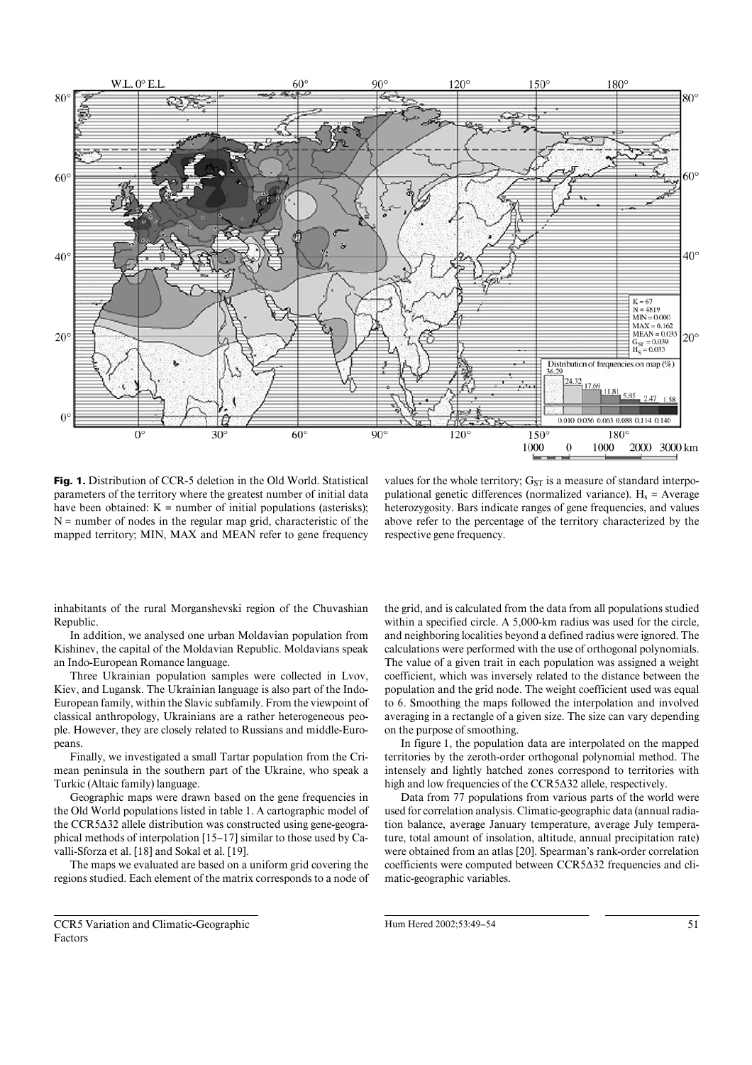

**Fig. 1.** Distribution of CCR-5 deletion in the Old World. Statistical parameters of the territory where the greatest number of initial data have been obtained:  $K =$  number of initial populations (asterisks):  $N =$  number of nodes in the regular map grid, characteristic of the mapped territory; MIN, MAX and MEAN refer to gene frequency

values for the whole territory;  $G_{ST}$  is a measure of standard interpopulational genetic differences (normalized variance).  $H_s$  = Average heterozygosity. Bars indicate ranges of gene frequencies, and values above refer to the percentage of the territory characterized by the respective gene frequency.

inhabitants of the rural Morganshevski region of the Chuvashian Republic.

In addition, we analysed one urban Moldavian population from Kishinev, the capital of the Moldavian Republic. Moldavians speak an Indo-European Romance language.

Three Ukrainian population samples were collected in Lvov, Kiev, and Lugansk. The Ukrainian language is also part of the Indo-European family, within the Slavic subfamily. From the viewpoint of classical anthropology, Ukrainians are a rather heterogeneous people. However, they are closely related to Russians and middle-Europeans.

Finally, we investigated a small Tartar population from the Crimean peninsula in the southern part of the Ukraine, who speak a Turkic (Altaic family) language.

Geographic maps were drawn based on the gene frequencies in the Old World populations listed in table 1. A cartographic model of the CCR5 $\Delta$ 32 allele distribution was constructed using gene-geographical methods of interpolation [15–17] similar to those used by Cavalli-Sforza et al. [18] and Sokal et al. [19].

The maps we evaluated are based on a uniform grid covering the regions studied. Each element of the matrix corresponds to a node of

CCR5 Variation and Climatic-Geographic Factors

the grid, and is calculated from the data from all populations studied within a specified circle. A 5,000-km radius was used for the circle, and neighboring localities beyond a defined radius were ignored. The calculations were performed with the use of orthogonal polynomials. The value of a given trait in each population was assigned a weight coefficient, which was inversely related to the distance between the population and the grid node. The weight coefficient used was equal to 6. Smoothing the maps followed the interpolation and involved averaging in a rectangle of a given size. The size can vary depending on the purpose of smoothing.

In figure 1, the population data are interpolated on the mapped territories by the zeroth-order orthogonal polynomial method. The intensely and lightly hatched zones correspond to territories with high and low frequencies of the CCR5 $\Delta$ 32 allele, respectively.

Data from 77 populations from various parts of the world were used for correlation analysis. Climatic-geographic data (annual radiation balance, average January temperature, average July temperature, total amount of insolation, altitude, annual precipitation rate) were obtained from an atlas [20]. Spearman's rank-order correlation  $coefficients$  were computed between  $CCR5\Delta32$  frequencies and climatic-geographic variables.

Hum Hered 2002:53:49–54 51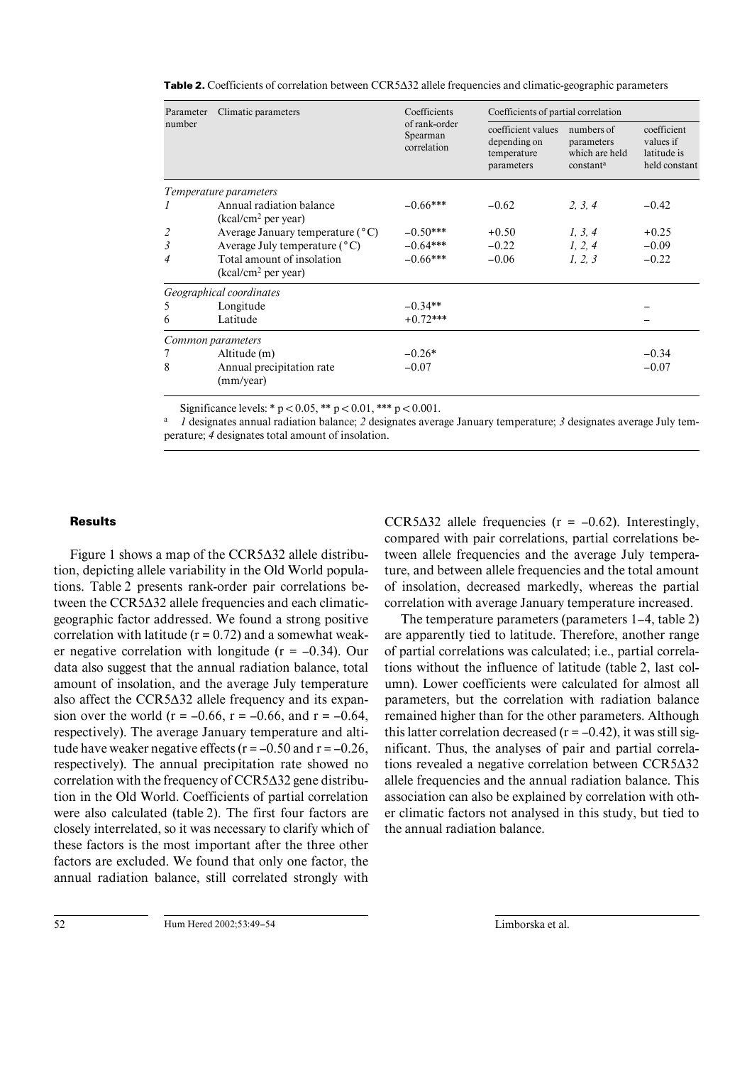| Parameter | Climatic parameters                                 | Coefficients                             | Coefficients of partial correlation                             |                                                         |                                                          |  |
|-----------|-----------------------------------------------------|------------------------------------------|-----------------------------------------------------------------|---------------------------------------------------------|----------------------------------------------------------|--|
| number    |                                                     | of rank-order<br>Spearman<br>correlation | coefficient values<br>depending on<br>temperature<br>parameters | numbers of<br>parameters<br>which are held<br>constanta | coefficient<br>values if<br>latitude is<br>held constant |  |
|           | Temperature parameters                              |                                          |                                                                 |                                                         |                                                          |  |
| 1         | Annual radiation balance<br>$(kcal/cm2$ per year)   | $-0.66***$                               | $-0.62$                                                         | 2, 3, 4                                                 | $-0.42$                                                  |  |
| 2         | Average January temperature $(^{\circ}C)$           | $-0.50***$                               | $+0.50$                                                         | 1, 3, 4                                                 | $+0.25$                                                  |  |
| 3         | Average July temperature $(^{\circ}C)$              | $-0.64***$                               | $-0.22$                                                         | 1, 2, 4                                                 | $-0.09$                                                  |  |
| 4         | Total amount of insolation<br>$(kcal/cm2$ per year) | $-0.66***$                               | $-0.06$                                                         | 1, 2, 3                                                 | $-0.22$                                                  |  |
|           | Geographical coordinates                            |                                          |                                                                 |                                                         |                                                          |  |
| 5         | Longitude                                           | $-0.34**$                                |                                                                 |                                                         |                                                          |  |
| 6         | Latitude                                            | $+0.72***$                               |                                                                 |                                                         |                                                          |  |
|           | Common parameters                                   |                                          |                                                                 |                                                         |                                                          |  |
| 7         | Altitude (m)                                        | $-0.26*$                                 |                                                                 |                                                         | $-0.34$                                                  |  |
| 8         | Annual precipitation rate<br>(mm/year)              | $-0.07$                                  |                                                                 |                                                         | $-0.07$                                                  |  |

**Table 2.** Coefficients of correlation between CCR5 $\Delta$ 32 allele frequencies and climatic-geographic parameters

Significance levels: \*  $p < 0.05$ , \*\*  $p < 0.01$ , \*\*\*  $p < 0.001$ .

a *1* designates annual radiation balance; *2* designates average January temperature; *3* designates average July temperature; *4* designates total amount of insolation.

#### **Results**

Figure 1 shows a map of the  $CCR5\Delta32$  allele distribution, depicting allele variability in the Old World populations. Table 2 presents rank-order pair correlations between the  $CCR5\Delta32$  allele frequencies and each climaticgeographic factor addressed. We found a strong positive correlation with latitude  $(r = 0.72)$  and a somewhat weaker negative correlation with longitude  $(r = -0.34)$ . Our data also suggest that the annual radiation balance, total amount of insolation, and the average July temperature also affect the  $CCR5\Delta32$  allele frequency and its expansion over the world ( $r = -0.66$ ,  $r = -0.66$ , and  $r = -0.64$ , respectively). The average January temperature and altitude have weaker negative effects ( $r = -0.50$  and  $r = -0.26$ , respectively). The annual precipitation rate showed no correlation with the frequency of  $CCR5\Delta32$  gene distribution in the Old World. Coefficients of partial correlation were also calculated (table 2). The first four factors are closely interrelated, so it was necessary to clarify which of these factors is the most important after the three other factors are excluded. We found that only one factor, the annual radiation balance, still correlated strongly with

CCR5 $\Delta$ 32 allele frequencies (r = -0.62). Interestingly, compared with pair correlations, partial correlations between allele frequencies and the average July temperature, and between allele frequencies and the total amount of insolation, decreased markedly, whereas the partial correlation with average January temperature increased.

The temperature parameters (parameters 1–4, table 2) are apparently tied to latitude. Therefore, another range of partial correlations was calculated; i.e., partial correlations without the influence of latitude (table 2, last column). Lower coefficients were calculated for almost all parameters, but the correlation with radiation balance remained higher than for the other parameters. Although this latter correlation decreased  $(r = -0.42)$ , it was still significant. Thus, the analyses of pair and partial correlations revealed a negative correlation between  $CCR5\Delta32$ allele frequencies and the annual radiation balance. This association can also be explained by correlation with other climatic factors not analysed in this study, but tied to the annual radiation balance.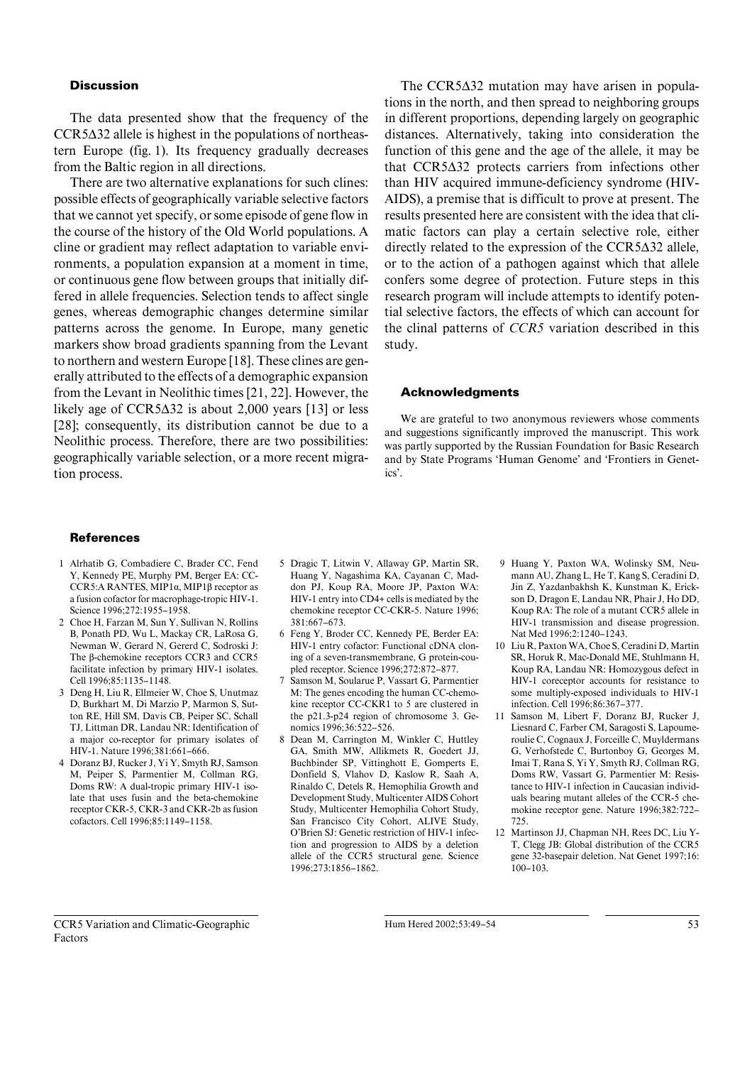#### **Discussion**

The data presented show that the frequency of the  $CCR5\Delta32$  allele is highest in the populations of northeastern Europe (fig. 1). Its frequency gradually decreases from the Baltic region in all directions.

There are two alternative explanations for such clines: possible effects of geographically variable selective factors that we cannot yet specify, or some episode of gene flow in the course of the history of the Old World populations. A cline or gradient may reflect adaptation to variable environments, a population expansion at a moment in time, or continuous gene flow between groups that initially differed in allele frequencies. Selection tends to affect single genes, whereas demographic changes determine similar patterns across the genome. In Europe, many genetic markers show broad gradients spanning from the Levant to northern and western Europe [18]. These clines are generally attributed to the effects of a demographic expansion from the Levant in Neolithic times [21, 22]. However, the likely age of  $CCR5\Delta32$  is about 2,000 years [13] or less [28]; consequently, its distribution cannot be due to a Neolithic process. Therefore, there are two possibilities: geographically variable selection, or a more recent migration process.

## The  $CCR5\Delta32$  mutation may have arisen in populations in the north, and then spread to neighboring groups in different proportions, depending largely on geographic distances. Alternatively, taking into consideration the function of this gene and the age of the allele, it may be that  $CCR5\Delta32$  protects carriers from infections other than HIV acquired immune-deficiency syndrome (HIV-AIDS), a premise that is difficult to prove at present. The results presented here are consistent with the idea that climatic factors can play a certain selective role, either directly related to the expression of the  $CCR5\Delta32$  allele, or to the action of a pathogen against which that allele confers some degree of protection. Future steps in this research program will include attempts to identify potential selective factors, the effects of which can account for the clinal patterns of *CCR5* variation described in this study.

#### **Acknowledgments**

We are grateful to two anonymous reviewers whose comments and suggestions significantly improved the manuscript. This work was partly supported by the Russian Foundation for Basic Research and by State Programs 'Human Genome' and 'Frontiers in Genetics'.

#### **References**

- 1 Alrhatib G, Combadiere C, Brader CC, Fend Y, Kennedy PE, Murphy PM, Berger EA: CC-CCR5:A RANTES, MIP1 $\alpha$ , MIP1 $\beta$  receptor as a fusion cofactor for macrophage-tropic HIV-1. Science 1996;272:1955–1958.
- 2 Choe H, Farzan M, Sun Y, Sullivan N, Rollins B, Ponath PD, Wu L, Mackay CR, LaRosa G, Newman W, Gerard N, Gererd C, Sodroski J: The ß-chemokine receptors CCR3 and CCR5 facilitate infection by primary HIV-1 isolates. Cell 1996;85:1135–1148.
- 3 Deng H, Liu R, Ellmeier W, Choe S, Unutmaz D, Burkhart M, Di Marzio P, Marmon S, Sutton RE, Hill SM, Davis CB, Peiper SC, Schall TJ, Littman DR, Landau NR: Identification of a major co-receptor for primary isolates of HIV-1. Nature 1996;381:661–666.
- 4 Doranz BJ, Rucker J, Yi Y, Smyth RJ, Samson M, Peiper S, Parmentier M, Collman RG, Doms RW: A dual-tropic primary HIV-1 isolate that uses fusin and the beta-chemokine receptor CKR-5, CKR-3 and CKR-2b as fusion cofactors. Cell 1996;85:1149–1158.
- 5 Dragic T, Litwin V, Allaway GP, Martin SR, Huang Y, Nagashima KA, Cayanan C, Maddon PJ, Koup RA, Moore JP, Paxton WA: HIV-1 entry into CD4+ cells is mediated by the chemokine receptor CC-CKR-5. Nature 1996; 381:667–673.
- 6 Feng Y, Broder CC, Kennedy PE, Berder EA: HIV-1 entry cofactor: Functional cDNA cloning of a seven-transmembrane, G protein-coupled receptor. Science 1996;272:872–877.
- 7 Samson M, Soularue P, Vassart G, Parmentier M: The genes encoding the human CC-chemokine receptor CC-CKR1 to 5 are clustered in the p21.3-p24 region of chromosome 3. Genomics 1996;36:522–526.
- 8 Dean M, Carrington M, Winkler C, Huttley GA, Smith MW, Allikmets R, Goedert JJ, Buchbinder SP, Vittinghott E, Gomperts E, Donfield S, Vlahov D, Kaslow R, Saah A, Rinaldo C, Detels R, Hemophilia Growth and Development Study, Multicenter AIDS Cohort Study, Multicenter Hemophilia Cohort Study, San Francisco City Cohort, ALIVE Study, O'Brien SJ: Genetic restriction of HIV-1 infection and progression to AIDS by a deletion allele of the CCR5 structural gene. Science 1996;273:1856–1862.
- 9 Huang Y, Paxton WA, Wolinsky SM, Neumann AU, Zhang L, He T, Kang S, Ceradini D, Jin Z, Yazdanbakhsh K, Kunstman K, Erickson D, Dragon E, Landau NR, Phair J, Ho DD, Koup RA: The role of a mutant CCR5 allele in HIV-1 transmission and disease progression. Nat Med 1996;2:1240–1243.
- 10 Liu R, Paxton WA, Choe S, Ceradini D, Martin SR, Horuk R, Mac-Donald ME, Stuhlmann H, Koup RA, Landau NR: Homozygous defect in HIV-1 coreceptor accounts for resistance to some multiply-exposed individuals to HIV-1 infection. Cell 1996;86:367–377.
- 11 Samson M, Libert F, Doranz BJ, Rucker J, Liesnard C, Farber CM, Saragosti S, Lapoumeroulie C, Cognaux J, Forceille C, Muyldermans G, Verhofstede C, Burtonboy G, Georges M, Imai T, Rana S, Yi Y, Smyth RJ, Collman RG, Doms RW, Vassart G, Parmentier M: Resistance to HIV-1 infection in Caucasian individuals bearing mutant alleles of the CCR-5 chemokine receptor gene. Nature 1996;382:722– 725.
- 12 Martinson JJ, Chapman NH, Rees DC, Liu Y-T, Clegg JB: Global distribution of the CCR5 gene 32-basepair deletion. Nat Genet 1997;16: 100–103.

CCR5 Variation and Climatic-Geographic Factors